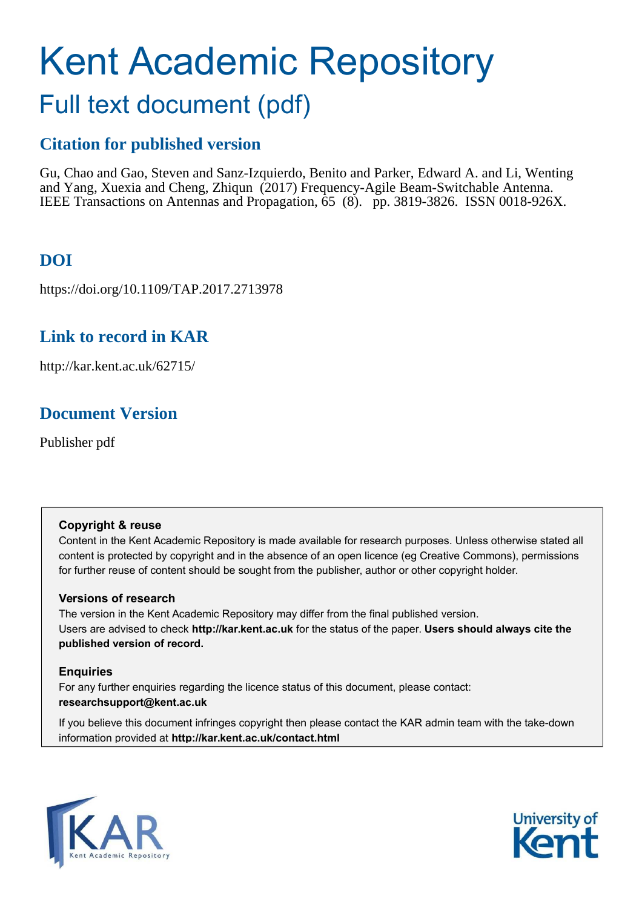# Kent Academic Repository Full text document (pdf)

# **Citation for published version**

Gu, Chao and Gao, Steven and Sanz-Izquierdo, Benito and Parker, Edward A. and Li, Wenting and Yang, Xuexia and Cheng, Zhiqun (2017) Frequency-Agile Beam-Switchable Antenna. IEEE Transactions on Antennas and Propagation, 65 (8). pp. 3819-3826. ISSN 0018-926X.

# **DOI**

https://doi.org/10.1109/TAP.2017.2713978

# **Link to record in KAR**

http://kar.kent.ac.uk/62715/

### **Document Version**

Publisher pdf

### **Copyright & reuse**

Content in the Kent Academic Repository is made available for research purposes. Unless otherwise stated all content is protected by copyright and in the absence of an open licence (eg Creative Commons), permissions for further reuse of content should be sought from the publisher, author or other copyright holder.

### **Versions of research**

The version in the Kent Academic Repository may differ from the final published version. Users are advised to check **http://kar.kent.ac.uk** for the status of the paper. **Users should always cite the published version of record.**

### **Enquiries**

For any further enquiries regarding the licence status of this document, please contact: **researchsupport@kent.ac.uk**

If you believe this document infringes copyright then please contact the KAR admin team with the take-down information provided at **http://kar.kent.ac.uk/contact.html**



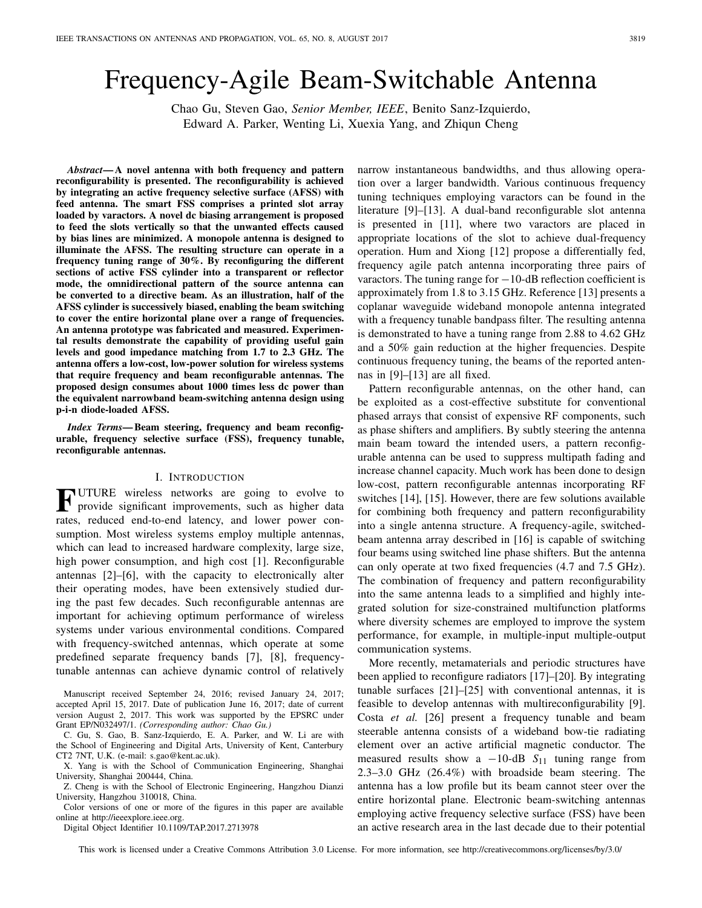# Frequency-Agile Beam-Switchable Antenna

Chao Gu, Steven Gao, *Senior Member, IEEE*, Benito Sanz-Izquierdo, Edward A. Parker, Wenting Li, Xuexia Yang, and Zhiqun Cheng

*Abstract***— A novel antenna with both frequency and pattern reconfigurability is presented. The reconfigurability is achieved by integrating an active frequency selective surface (AFSS) with feed antenna. The smart FSS comprises a printed slot array loaded by varactors. A novel dc biasing arrangement is proposed to feed the slots vertically so that the unwanted effects caused by bias lines are minimized. A monopole antenna is designed to illuminate the AFSS. The resulting structure can operate in a frequency tuning range of 30%. By reconfiguring the different sections of active FSS cylinder into a transparent or reflector mode, the omnidirectional pattern of the source antenna can be converted to a directive beam. As an illustration, half of the AFSS cylinder is successively biased, enabling the beam switching to cover the entire horizontal plane over a range of frequencies. An antenna prototype was fabricated and measured. Experimental results demonstrate the capability of providing useful gain levels and good impedance matching from 1.7 to 2.3 GHz. The antenna offers a low-cost, low-power solution for wireless systems that require frequency and beam reconfigurable antennas. The proposed design consumes about 1000 times less dc power than the equivalent narrowband beam-switching antenna design using p-i-n diode-loaded AFSS.**

*Index Terms***— Beam steering, frequency and beam reconfigurable, frequency selective surface (FSS), frequency tunable, reconfigurable antennas.**

#### I. INTRODUCTION

**FUTURE** wireless networks are going to evolve to provide significant improvements, such as higher data provide significant improvements, such as higher data rates, reduced end-to-end latency, and lower power consumption. Most wireless systems employ multiple antennas, which can lead to increased hardware complexity, large size, high power consumption, and high cost [1]. Reconfigurable antennas [2]–[6], with the capacity to electronically alter their operating modes, have been extensively studied during the past few decades. Such reconfigurable antennas are important for achieving optimum performance of wireless systems under various environmental conditions. Compared with frequency-switched antennas, which operate at some predefined separate frequency bands [7], [8], frequencytunable antennas can achieve dynamic control of relatively

Manuscript received September 24, 2016; revised January 24, 2017; accepted April 15, 2017. Date of publication June 16, 2017; date of current version August 2, 2017. This work was supported by the EPSRC under Grant EP/N032497/1. *(Corresponding author: Chao Gu.)*

X. Yang is with the School of Communication Engineering, Shanghai University, Shanghai 200444, China.

Z. Cheng is with the School of Electronic Engineering, Hangzhou Dianzi University, Hangzhou 310018, China.

Color versions of one or more of the figures in this paper are available online at http://ieeexplore.ieee.org.

Digital Object Identifier 10.1109/TAP.2017.2713978

narrow instantaneous bandwidths, and thus allowing operation over a larger bandwidth. Various continuous frequency tuning techniques employing varactors can be found in the literature [9]–[13]. A dual-band reconfigurable slot antenna is presented in [11], where two varactors are placed in appropriate locations of the slot to achieve dual-frequency operation. Hum and Xiong [12] propose a differentially fed, frequency agile patch antenna incorporating three pairs of varactors. The tuning range for −10-dB reflection coefficient is approximately from 1.8 to 3.15 GHz. Reference [13] presents a coplanar waveguide wideband monopole antenna integrated with a frequency tunable bandpass filter. The resulting antenna is demonstrated to have a tuning range from 2.88 to 4.62 GHz and a 50% gain reduction at the higher frequencies. Despite continuous frequency tuning, the beams of the reported antennas in [9]–[13] are all fixed.

Pattern reconfigurable antennas, on the other hand, can be exploited as a cost-effective substitute for conventional phased arrays that consist of expensive RF components, such as phase shifters and amplifiers. By subtly steering the antenna main beam toward the intended users, a pattern reconfigurable antenna can be used to suppress multipath fading and increase channel capacity. Much work has been done to design low-cost, pattern reconfigurable antennas incorporating RF switches [14], [15]. However, there are few solutions available for combining both frequency and pattern reconfigurability into a single antenna structure. A frequency-agile, switchedbeam antenna array described in [16] is capable of switching four beams using switched line phase shifters. But the antenna can only operate at two fixed frequencies (4.7 and 7.5 GHz). The combination of frequency and pattern reconfigurability into the same antenna leads to a simplified and highly integrated solution for size-constrained multifunction platforms where diversity schemes are employed to improve the system performance, for example, in multiple-input multiple-output communication systems.

More recently, metamaterials and periodic structures have been applied to reconfigure radiators [17]–[20]. By integrating tunable surfaces [21]–[25] with conventional antennas, it is feasible to develop antennas with multireconfigurability [9]. Costa *et al.* [26] present a frequency tunable and beam steerable antenna consists of a wideband bow-tie radiating element over an active artificial magnetic conductor. The measured results show a −10-dB *S*<sup>11</sup> tuning range from 2.3–3.0 GHz (26.4%) with broadside beam steering. The antenna has a low profile but its beam cannot steer over the entire horizontal plane. Electronic beam-switching antennas employing active frequency selective surface (FSS) have been an active research area in the last decade due to their potential

This work is licensed under a Creative Commons Attribution 3.0 License. For more information, see http://creativecommons.org/licenses/by/3.0/

C. Gu, S. Gao, B. Sanz-Izquierdo, E. A. Parker, and W. Li are with the School of Engineering and Digital Arts, University of Kent, Canterbury CT2 7NT, U.K. (e-mail: s.gao@kent.ac.uk).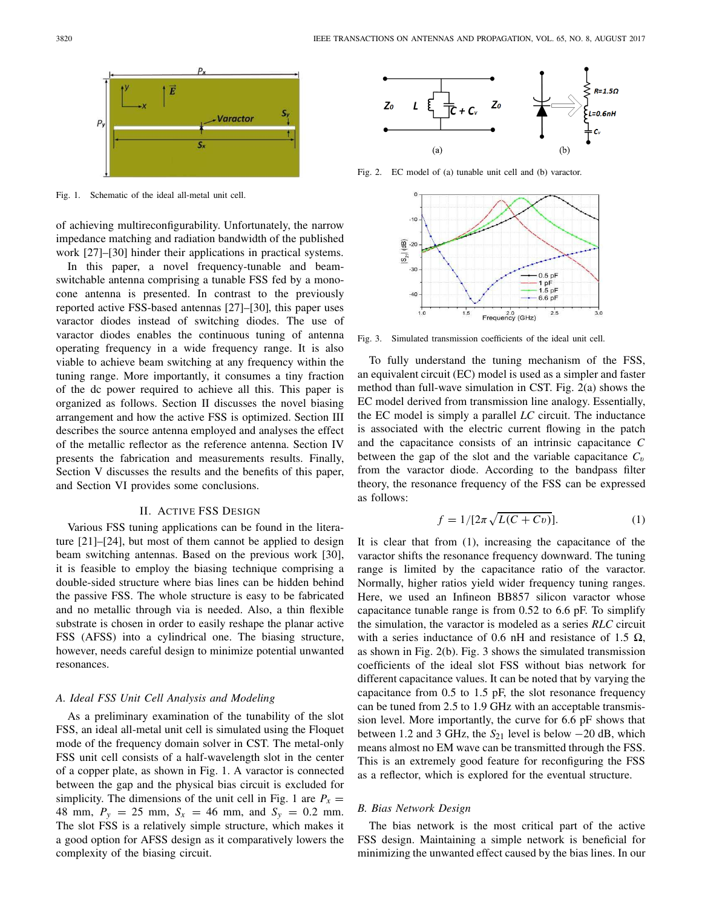

Fig. 1. Schematic of the ideal all-metal unit cell.

of achieving multireconfigurability. Unfortunately, the narrow impedance matching and radiation bandwidth of the published work [27]–[30] hinder their applications in practical systems.

In this paper, a novel frequency-tunable and beamswitchable antenna comprising a tunable FSS fed by a monocone antenna is presented. In contrast to the previously reported active FSS-based antennas [27]–[30], this paper uses varactor diodes instead of switching diodes. The use of varactor diodes enables the continuous tuning of antenna operating frequency in a wide frequency range. It is also viable to achieve beam switching at any frequency within the tuning range. More importantly, it consumes a tiny fraction of the dc power required to achieve all this. This paper is organized as follows. Section II discusses the novel biasing arrangement and how the active FSS is optimized. Section III describes the source antenna employed and analyses the effect of the metallic reflector as the reference antenna. Section IV presents the fabrication and measurements results. Finally, Section V discusses the results and the benefits of this paper, and Section VI provides some conclusions.

#### II. ACTIVE FSS DESIGN

Various FSS tuning applications can be found in the literature [21]–[24], but most of them cannot be applied to design beam switching antennas. Based on the previous work [30], it is feasible to employ the biasing technique comprising a double-sided structure where bias lines can be hidden behind the passive FSS. The whole structure is easy to be fabricated and no metallic through via is needed. Also, a thin flexible substrate is chosen in order to easily reshape the planar active FSS (AFSS) into a cylindrical one. The biasing structure, however, needs careful design to minimize potential unwanted resonances.

#### *A. Ideal FSS Unit Cell Analysis and Modeling*

As a preliminary examination of the tunability of the slot FSS, an ideal all-metal unit cell is simulated using the Floquet mode of the frequency domain solver in CST. The metal-only FSS unit cell consists of a half-wavelength slot in the center of a copper plate, as shown in Fig. 1. A varactor is connected between the gap and the physical bias circuit is excluded for simplicity. The dimensions of the unit cell in Fig. 1 are  $P_x =$ 48 mm,  $P_y = 25$  mm,  $S_x = 46$  mm, and  $S_y = 0.2$  mm. The slot FSS is a relatively simple structure, which makes it a good option for AFSS design as it comparatively lowers the complexity of the biasing circuit.



Fig. 2. EC model of (a) tunable unit cell and (b) varactor.



Fig. 3. Simulated transmission coefficients of the ideal unit cell.

To fully understand the tuning mechanism of the FSS, an equivalent circuit (EC) model is used as a simpler and faster method than full-wave simulation in CST. Fig. 2(a) shows the EC model derived from transmission line analogy. Essentially, the EC model is simply a parallel *LC* circuit. The inductance is associated with the electric current flowing in the patch and the capacitance consists of an intrinsic capacitance *C* between the gap of the slot and the variable capacitance  $C_v$ from the varactor diode. According to the bandpass filter theory, the resonance frequency of the FSS can be expressed as follows:

$$
f = 1/[2\pi\sqrt{L(C + Cv)}].\tag{1}
$$

It is clear that from (1), increasing the capacitance of the varactor shifts the resonance frequency downward. The tuning range is limited by the capacitance ratio of the varactor. Normally, higher ratios yield wider frequency tuning ranges. Here, we used an Infineon BB857 silicon varactor whose capacitance tunable range is from 0.52 to 6.6 pF. To simplify the simulation, the varactor is modeled as a series *RLC* circuit with a series inductance of 0.6 nH and resistance of 1.5  $\Omega$ , as shown in Fig. 2(b). Fig. 3 shows the simulated transmission coefficients of the ideal slot FSS without bias network for different capacitance values. It can be noted that by varying the capacitance from 0.5 to 1.5 pF, the slot resonance frequency can be tuned from 2.5 to 1.9 GHz with an acceptable transmission level. More importantly, the curve for 6.6 pF shows that between 1.2 and 3 GHz, the *S*<sup>21</sup> level is below −20 dB, which means almost no EM wave can be transmitted through the FSS. This is an extremely good feature for reconfiguring the FSS as a reflector, which is explored for the eventual structure.

#### *B. Bias Network Design*

The bias network is the most critical part of the active FSS design. Maintaining a simple network is beneficial for minimizing the unwanted effect caused by the bias lines. In our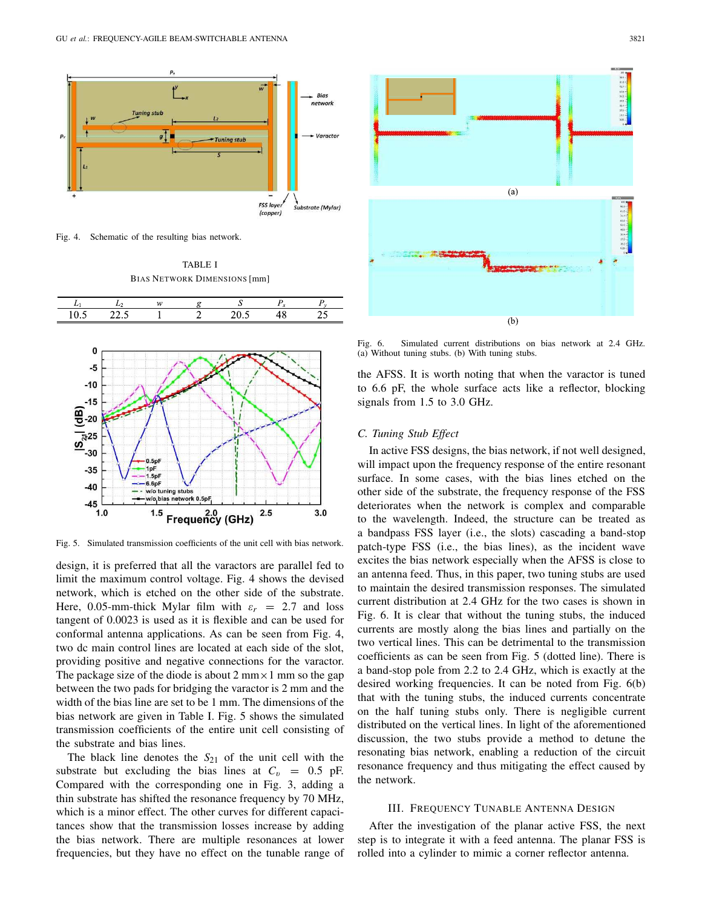

Fig. 4. Schematic of the resulting bias network.

TABLE I BIAS NETWORK DIMENSIONS [mm]



Fig. 5. Simulated transmission coefficients of the unit cell with bias network.

design, it is preferred that all the varactors are parallel fed to limit the maximum control voltage. Fig. 4 shows the devised network, which is etched on the other side of the substrate. Here, 0.05-mm-thick Mylar film with  $\varepsilon_r = 2.7$  and loss tangent of 0.0023 is used as it is flexible and can be used for conformal antenna applications. As can be seen from Fig. 4, two dc main control lines are located at each side of the slot, providing positive and negative connections for the varactor. The package size of the diode is about 2 mm $\times$  1 mm so the gap between the two pads for bridging the varactor is 2 mm and the width of the bias line are set to be 1 mm. The dimensions of the bias network are given in Table I. Fig. 5 shows the simulated transmission coefficients of the entire unit cell consisting of the substrate and bias lines.

The black line denotes the  $S_{21}$  of the unit cell with the substrate but excluding the bias lines at  $C_v = 0.5$  pF. Compared with the corresponding one in Fig. 3, adding a thin substrate has shifted the resonance frequency by 70 MHz, which is a minor effect. The other curves for different capacitances show that the transmission losses increase by adding the bias network. There are multiple resonances at lower frequencies, but they have no effect on the tunable range of



Fig. 6. Simulated current distributions on bias network at 2.4 GHz. (a) Without tuning stubs. (b) With tuning stubs.

the AFSS. It is worth noting that when the varactor is tuned to 6.6 pF, the whole surface acts like a reflector, blocking signals from 1.5 to 3.0 GHz.

#### *C. Tuning Stub Effect*

In active FSS designs, the bias network, if not well designed, will impact upon the frequency response of the entire resonant surface. In some cases, with the bias lines etched on the other side of the substrate, the frequency response of the FSS deteriorates when the network is complex and comparable to the wavelength. Indeed, the structure can be treated as a bandpass FSS layer (i.e., the slots) cascading a band-stop patch-type FSS (i.e., the bias lines), as the incident wave excites the bias network especially when the AFSS is close to an antenna feed. Thus, in this paper, two tuning stubs are used to maintain the desired transmission responses. The simulated current distribution at 2.4 GHz for the two cases is shown in Fig. 6. It is clear that without the tuning stubs, the induced currents are mostly along the bias lines and partially on the two vertical lines. This can be detrimental to the transmission coefficients as can be seen from Fig. 5 (dotted line). There is a band-stop pole from 2.2 to 2.4 GHz, which is exactly at the desired working frequencies. It can be noted from Fig. 6(b) that with the tuning stubs, the induced currents concentrate on the half tuning stubs only. There is negligible current distributed on the vertical lines. In light of the aforementioned discussion, the two stubs provide a method to detune the resonating bias network, enabling a reduction of the circuit resonance frequency and thus mitigating the effect caused by the network.

#### III. FREQUENCY TUNABLE ANTENNA DESIGN

After the investigation of the planar active FSS, the next step is to integrate it with a feed antenna. The planar FSS is rolled into a cylinder to mimic a corner reflector antenna.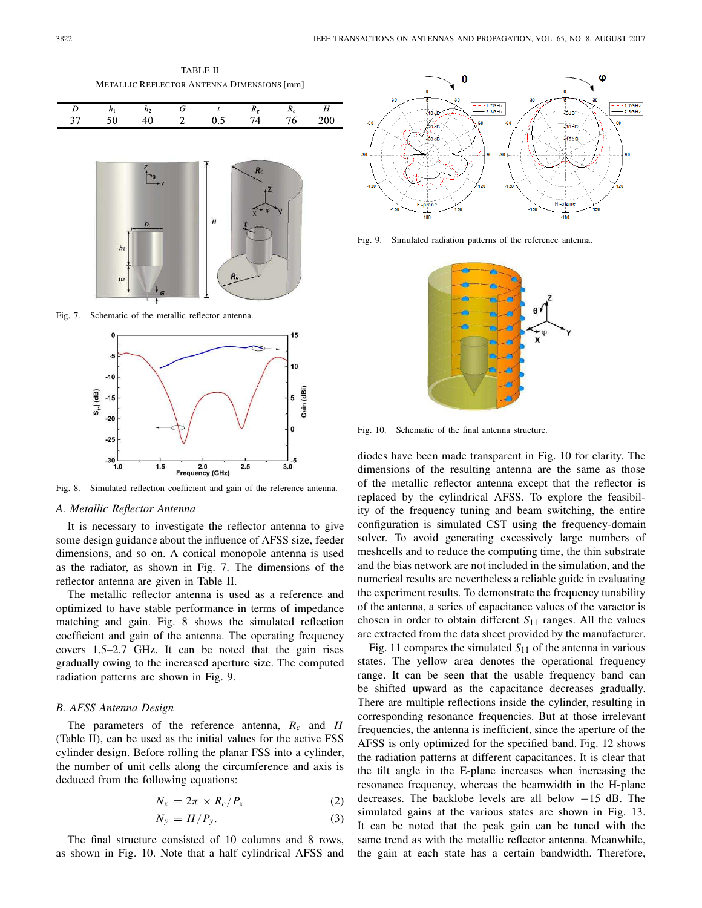TABLE II METALLIC REFLECTOR ANTENNA DIMENSIONS [mm]





Fig. 7. Schematic of the metallic reflector antenna.



Fig. 8. Simulated reflection coefficient and gain of the reference antenna.

#### *A. Metallic Reflector Antenna*

It is necessary to investigate the reflector antenna to give some design guidance about the influence of AFSS size, feeder dimensions, and so on. A conical monopole antenna is used as the radiator, as shown in Fig. 7. The dimensions of the reflector antenna are given in Table II.

The metallic reflector antenna is used as a reference and optimized to have stable performance in terms of impedance matching and gain. Fig. 8 shows the simulated reflection coefficient and gain of the antenna. The operating frequency covers 1.5–2.7 GHz. It can be noted that the gain rises gradually owing to the increased aperture size. The computed radiation patterns are shown in Fig. 9.

#### *B. AFSS Antenna Design*

The parameters of the reference antenna, *R<sup>c</sup>* and *H* (Table II), can be used as the initial values for the active FSS cylinder design. Before rolling the planar FSS into a cylinder, the number of unit cells along the circumference and axis is deduced from the following equations:

$$
N_x = 2\pi \times R_c / P_x \tag{2}
$$

$$
N_{y} = H/P_{y}.
$$
 (3)

The final structure consisted of 10 columns and 8 rows, as shown in Fig. 10. Note that a half cylindrical AFSS and



Fig. 9. Simulated radiation patterns of the reference antenna.



Fig. 10. Schematic of the final antenna structure.

diodes have been made transparent in Fig. 10 for clarity. The dimensions of the resulting antenna are the same as those of the metallic reflector antenna except that the reflector is replaced by the cylindrical AFSS. To explore the feasibility of the frequency tuning and beam switching, the entire configuration is simulated CST using the frequency-domain solver. To avoid generating excessively large numbers of meshcells and to reduce the computing time, the thin substrate and the bias network are not included in the simulation, and the numerical results are nevertheless a reliable guide in evaluating the experiment results. To demonstrate the frequency tunability of the antenna, a series of capacitance values of the varactor is chosen in order to obtain different *S*<sup>11</sup> ranges. All the values are extracted from the data sheet provided by the manufacturer.

Fig. 11 compares the simulated  $S_{11}$  of the antenna in various states. The yellow area denotes the operational frequency range. It can be seen that the usable frequency band can be shifted upward as the capacitance decreases gradually. There are multiple reflections inside the cylinder, resulting in corresponding resonance frequencies. But at those irrelevant frequencies, the antenna is inefficient, since the aperture of the AFSS is only optimized for the specified band. Fig. 12 shows the radiation patterns at different capacitances. It is clear that the tilt angle in the E-plane increases when increasing the resonance frequency, whereas the beamwidth in the H-plane decreases. The backlobe levels are all below −15 dB. The simulated gains at the various states are shown in Fig. 13. It can be noted that the peak gain can be tuned with the same trend as with the metallic reflector antenna. Meanwhile, the gain at each state has a certain bandwidth. Therefore,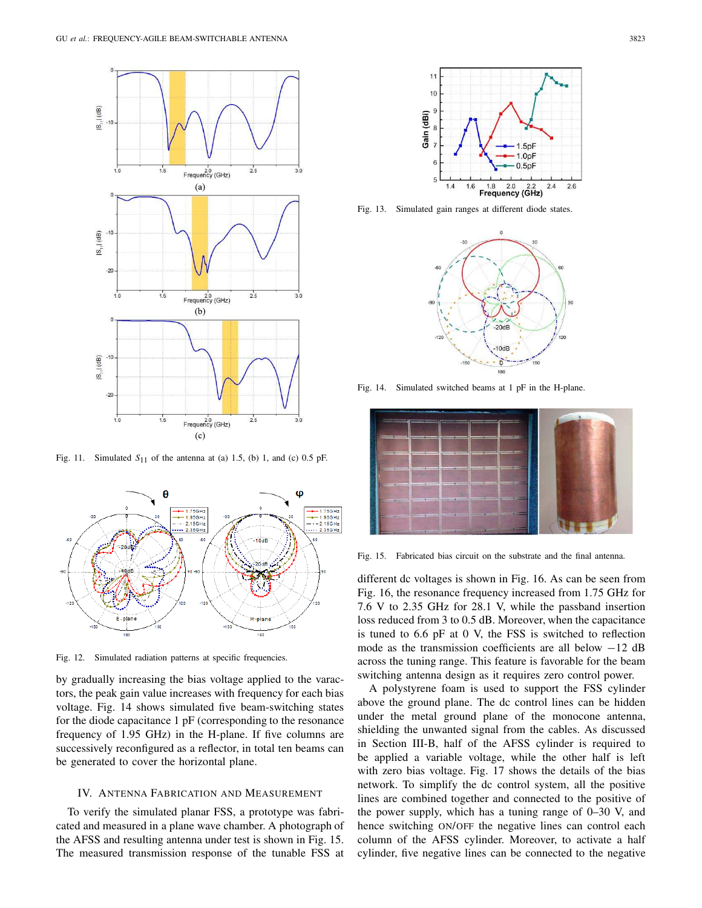

Fig. 11. Simulated  $S_{11}$  of the antenna at (a) 1.5, (b) 1, and (c) 0.5 pF.



Fig. 12. Simulated radiation patterns at specific frequencies.

by gradually increasing the bias voltage applied to the varactors, the peak gain value increases with frequency for each bias voltage. Fig. 14 shows simulated five beam-switching states for the diode capacitance 1 pF (corresponding to the resonance frequency of 1.95 GHz) in the H-plane. If five columns are successively reconfigured as a reflector, in total ten beams can be generated to cover the horizontal plane.

#### IV. ANTENNA FABRICATION AND MEASUREMENT

To verify the simulated planar FSS, a prototype was fabricated and measured in a plane wave chamber. A photograph of the AFSS and resulting antenna under test is shown in Fig. 15. The measured transmission response of the tunable FSS at



Fig. 13. Simulated gain ranges at different diode states.



Fig. 14. Simulated switched beams at 1 pF in the H-plane.



Fig. 15. Fabricated bias circuit on the substrate and the final antenna.

different dc voltages is shown in Fig. 16. As can be seen from Fig. 16, the resonance frequency increased from 1.75 GHz for 7.6 V to 2.35 GHz for 28.1 V, while the passband insertion loss reduced from 3 to 0.5 dB. Moreover, when the capacitance is tuned to 6.6 pF at 0 V, the FSS is switched to reflection mode as the transmission coefficients are all below −12 dB across the tuning range. This feature is favorable for the beam switching antenna design as it requires zero control power.

A polystyrene foam is used to support the FSS cylinder above the ground plane. The dc control lines can be hidden under the metal ground plane of the monocone antenna, shielding the unwanted signal from the cables. As discussed in Section III-B, half of the AFSS cylinder is required to be applied a variable voltage, while the other half is left with zero bias voltage. Fig. 17 shows the details of the bias network. To simplify the dc control system, all the positive lines are combined together and connected to the positive of the power supply, which has a tuning range of 0–30 V, and hence switching ON/OFF the negative lines can control each column of the AFSS cylinder. Moreover, to activate a half cylinder, five negative lines can be connected to the negative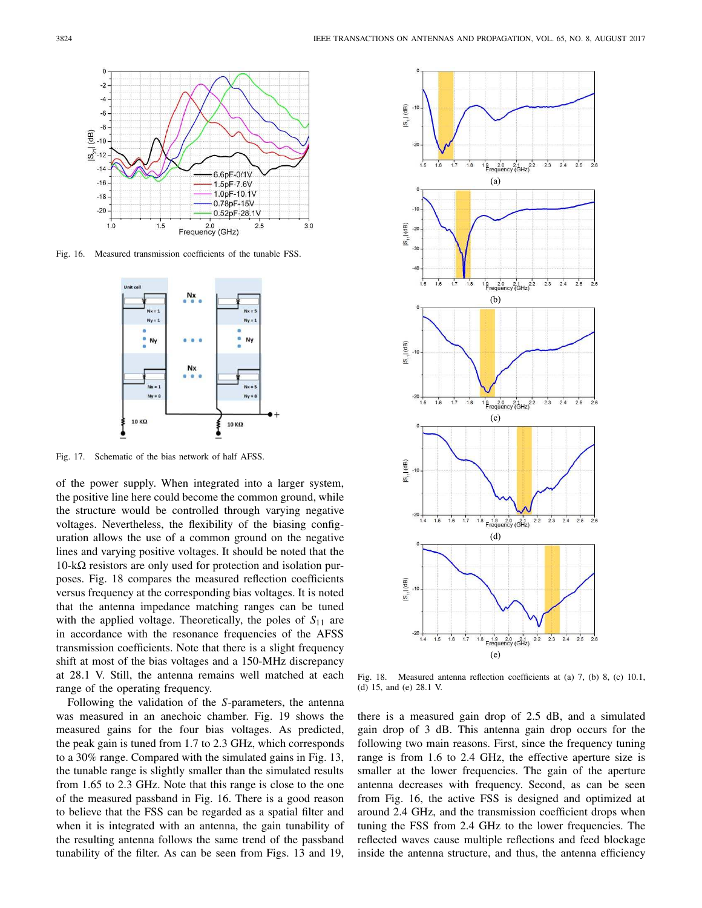

Fig. 16. Measured transmission coefficients of the tunable FSS.



Fig. 17. Schematic of the bias network of half AFSS.

of the power supply. When integrated into a larger system, the positive line here could become the common ground, while the structure would be controlled through varying negative voltages. Nevertheless, the flexibility of the biasing configuration allows the use of a common ground on the negative lines and varying positive voltages. It should be noted that the  $10-k\Omega$  resistors are only used for protection and isolation purposes. Fig. 18 compares the measured reflection coefficients versus frequency at the corresponding bias voltages. It is noted that the antenna impedance matching ranges can be tuned with the applied voltage. Theoretically, the poles of *S*<sup>11</sup> are in accordance with the resonance frequencies of the AFSS transmission coefficients. Note that there is a slight frequency shift at most of the bias voltages and a 150-MHz discrepancy at 28.1 V. Still, the antenna remains well matched at each range of the operating frequency.

Following the validation of the *S*-parameters, the antenna was measured in an anechoic chamber. Fig. 19 shows the measured gains for the four bias voltages. As predicted, the peak gain is tuned from 1.7 to 2.3 GHz, which corresponds to a 30% range. Compared with the simulated gains in Fig. 13, the tunable range is slightly smaller than the simulated results from 1.65 to 2.3 GHz. Note that this range is close to the one of the measured passband in Fig. 16. There is a good reason to believe that the FSS can be regarded as a spatial filter and when it is integrated with an antenna, the gain tunability of the resulting antenna follows the same trend of the passband tunability of the filter. As can be seen from Figs. 13 and 19,



Fig. 18. Measured antenna reflection coefficients at (a) 7, (b) 8, (c) 10.1, (d) 15, and (e) 28.1 V.

there is a measured gain drop of 2.5 dB, and a simulated gain drop of 3 dB. This antenna gain drop occurs for the following two main reasons. First, since the frequency tuning range is from 1.6 to 2.4 GHz, the effective aperture size is smaller at the lower frequencies. The gain of the aperture antenna decreases with frequency. Second, as can be seen from Fig. 16, the active FSS is designed and optimized at around 2.4 GHz, and the transmission coefficient drops when tuning the FSS from 2.4 GHz to the lower frequencies. The reflected waves cause multiple reflections and feed blockage inside the antenna structure, and thus, the antenna efficiency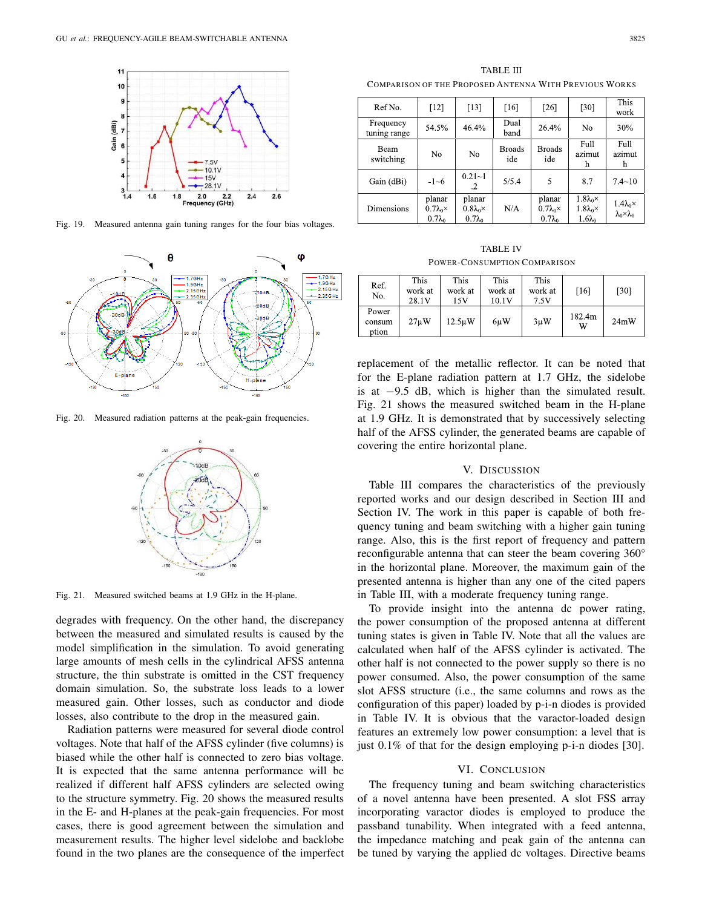

Fig. 19. Measured antenna gain tuning ranges for the four bias voltages.



Fig. 20. Measured radiation patterns at the peak-gain frequencies.



Fig. 21. Measured switched beams at 1.9 GHz in the H-plane.

degrades with frequency. On the other hand, the discrepancy between the measured and simulated results is caused by the model simplification in the simulation. To avoid generating large amounts of mesh cells in the cylindrical AFSS antenna structure, the thin substrate is omitted in the CST frequency domain simulation. So, the substrate loss leads to a lower measured gain. Other losses, such as conductor and diode losses, also contribute to the drop in the measured gain.

Radiation patterns were measured for several diode control voltages. Note that half of the AFSS cylinder (five columns) is biased while the other half is connected to zero bias voltage. It is expected that the same antenna performance will be realized if different half AFSS cylinders are selected owing to the structure symmetry. Fig. 20 shows the measured results in the E- and H-planes at the peak-gain frequencies. For most cases, there is good agreement between the simulation and measurement results. The higher level sidelobe and backlobe found in the two planes are the consequence of the imperfect

TABLE III COMPARISON OF THE PROPOSED ANTENNA WITH PREVIOUS WORKS

| Ref No.                   | $\lceil 12 \rceil$                                | [13]                                              | $[16]$               | [26]                                              | [30]                                                             | This<br>work                                          |
|---------------------------|---------------------------------------------------|---------------------------------------------------|----------------------|---------------------------------------------------|------------------------------------------------------------------|-------------------------------------------------------|
| Frequency<br>tuning range | 54.5%                                             | 46.4%                                             | Dual<br>band         | 26.4%                                             | No                                                               | 30%                                                   |
| Beam<br>switching         | No                                                | No                                                | <b>Broads</b><br>ide | <b>Broads</b><br>ide                              | Full<br>azimut<br>h                                              | Full<br>azimut<br>h                                   |
| Gain (dBi)                | $-1 - 6$                                          | $0.21 - 1$<br>$\cdot$                             | 5/5.4                | 5                                                 | 8.7                                                              | $7.4 - 10$                                            |
| <b>Dimensions</b>         | planar<br>$0.7\lambda_0 \times$<br>$0.7\lambda_0$ | planar<br>$0.8\lambda_0 \times$<br>$0.7\lambda_0$ | N/A                  | planar<br>$0.7\lambda_0 \times$<br>$0.7\lambda_0$ | $1.8\lambda_0 \times$<br>$1.8\lambda_0 \times$<br>$1.6\lambda_0$ | $1.4\lambda_0 \times$<br>$\lambda_0 \times \lambda_0$ |

TABLE IV POWER-CONSUMPTION COMPARISON

| Ref.<br>No.              | This<br>work at<br>28.1V | This<br>work at<br>15V | This<br>work at<br>10.1V | This<br>work at<br>7.5V | [16]        | [30] |
|--------------------------|--------------------------|------------------------|--------------------------|-------------------------|-------------|------|
| Power<br>consum<br>ption | 27 <sub>u</sub> W        | $12.5 \mu W$           | 6uW                      | $3\mu W$                | 182.4m<br>W | 24mW |

replacement of the metallic reflector. It can be noted that for the E-plane radiation pattern at 1.7 GHz, the sidelobe is at −9.5 dB, which is higher than the simulated result. Fig. 21 shows the measured switched beam in the H-plane at 1.9 GHz. It is demonstrated that by successively selecting half of the AFSS cylinder, the generated beams are capable of covering the entire horizontal plane.

#### V. DISCUSSION

Table III compares the characteristics of the previously reported works and our design described in Section III and Section IV. The work in this paper is capable of both frequency tuning and beam switching with a higher gain tuning range. Also, this is the first report of frequency and pattern reconfigurable antenna that can steer the beam covering 360° in the horizontal plane. Moreover, the maximum gain of the presented antenna is higher than any one of the cited papers in Table III, with a moderate frequency tuning range.

To provide insight into the antenna dc power rating, the power consumption of the proposed antenna at different tuning states is given in Table IV. Note that all the values are calculated when half of the AFSS cylinder is activated. The other half is not connected to the power supply so there is no power consumed. Also, the power consumption of the same slot AFSS structure (i.e., the same columns and rows as the configuration of this paper) loaded by p-i-n diodes is provided in Table IV. It is obvious that the varactor-loaded design features an extremely low power consumption: a level that is just 0.1% of that for the design employing p-i-n diodes [30].

#### VI. CONCLUSION

The frequency tuning and beam switching characteristics of a novel antenna have been presented. A slot FSS array incorporating varactor diodes is employed to produce the passband tunability. When integrated with a feed antenna, the impedance matching and peak gain of the antenna can be tuned by varying the applied dc voltages. Directive beams